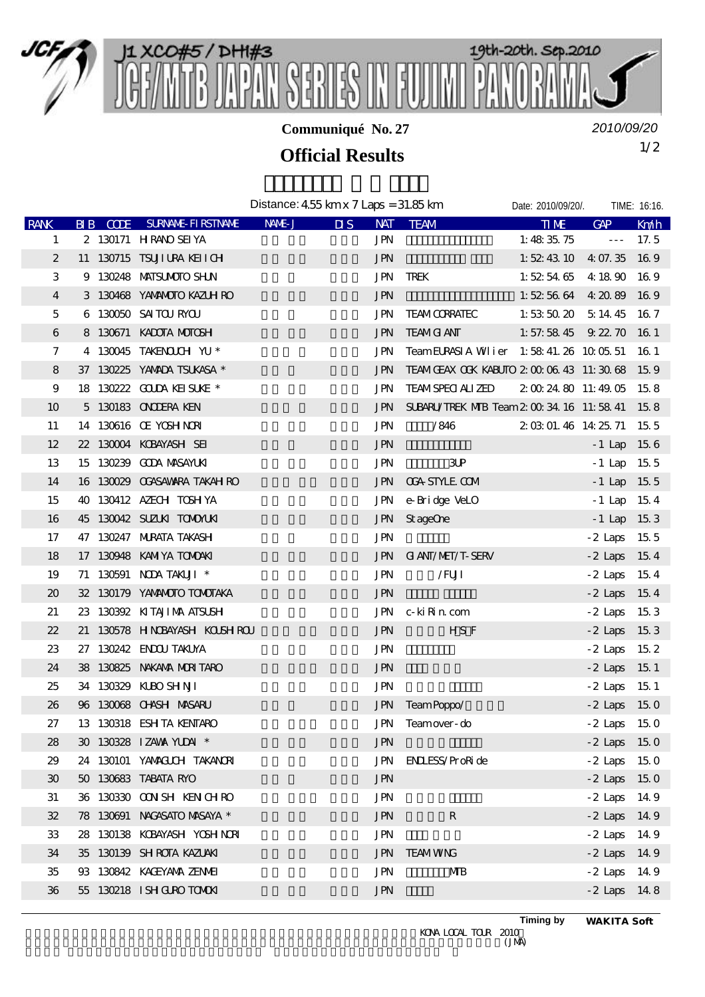

**Communiqué No. 27**

*2010/09/20*

## 1/2 **Official Results**

|                  |  |                                    | Distance: $455 \,\mathrm{kmx}$ $7 \,\mathrm{Laps} = 31.85 \,\mathrm{km}$ |                         |                                               | Date: 2010/09/20/.                                    |                      | TIME: 16:16. |
|------------------|--|------------------------------------|--------------------------------------------------------------------------|-------------------------|-----------------------------------------------|-------------------------------------------------------|----------------------|--------------|
| <b>RANK</b>      |  | <b>RIB CODE SURVANE FIRSTIVANE</b> | NAME J                                                                   | $\overline{\mathbf{u}}$ | NAT TEAM                                      | <b>TIME</b>                                           | $G\!A\!P$            | Kn/h         |
| 1                |  | 2 130171 HRANO SEI YA              |                                                                          | <b>JPN</b>              |                                               | 1:48 $35.75$                                          | $\sim$ $\sim$ $\sim$ | 17.5         |
| $\boldsymbol{2}$ |  | 11 130715 TSUJIURA KEIICH          |                                                                          | <b>JPN</b>              |                                               | 1: $52\,43\,10\quad4\,07.35\quad16\,9$                |                      |              |
| 3                |  | 9 130248 MATSUMOTO SHLN            |                                                                          | <b>JPN</b>              | TREK                                          | 1:52546541890169                                      |                      |              |
| 4                |  | 3 130468 YANANOTO KAZUH RO         |                                                                          | <b>JPN</b>              |                                               | 1:52:56:64 $4:20:89$ 16:9                             |                      |              |
| 5                |  | 6 130050 SAITOURYOU                |                                                                          | JPN                     | <b>TEAM CORRATEC</b>                          | 1: 53: 50: 20 $\overline{5}$ 14: 45 $\overline{16}$ 7 |                      |              |
| 6                |  | 8 130671 KADOTA MOTOSH             |                                                                          | <b>JPN</b>              | <b>TEAMG ANT</b>                              | 1: 57: 58 45 $9.22.70$ 16 1                           |                      |              |
| 7                |  | 4 130045 TAKENOLOH YU *            |                                                                          | <b>JPN</b>              | TeamEURASIA Whier 1:58:41.26 10:05.51 16:1    |                                                       |                      |              |
| 8                |  | 37 130225 YAMADA TSUKASA *         |                                                                          | <b>JPN</b>              | TEAM CEAX COK KABUTO 2 00 06 43 11:30 68 15 9 |                                                       |                      |              |
| 9                |  | 18 130222 GOLDA KEISLKE *          |                                                                          | JPN                     | <b>TEAMSPECI ALI ZED</b>                      | 2 00 24 80 11:49 05 15 8                              |                      |              |
| 10               |  | 5 130183 ON ODERA KEN              |                                                                          | JPN.                    | SUBARU/TREK MB Team 2 00 34 16 11:58 41 15 8  |                                                       |                      |              |
| 11               |  | 14 130616 Œ YOSHNOR                |                                                                          | <b>JPN</b>              | /846                                          | 2 03 01 46 14 25 71 15 5                              |                      |              |
| 12               |  | 22 130004 KOBAYASH SEI             |                                                                          | <b>JPN</b>              |                                               |                                                       | $-1$ Lap 15.6        |              |
| 13               |  | 15 130239 GODA MASAYLKI            |                                                                          | <b>JPN</b>              | 3P                                            |                                                       | $-1$ Lap 15.5        |              |
| 14               |  | 16 130029 CCASAWARA TAKAH RO       |                                                                          | <b>JPN</b>              | <b>CGA STYLE COM</b>                          |                                                       | $-1$ Lap 15.5        |              |
| 15               |  | 40 130412 AZECH TOSH YA            |                                                                          | <b>JPN</b>              | e-Bridge VeLO                                 |                                                       | $-1$ Lap 154         |              |
| 16               |  | 45 130042 SUZUKI TOMONUKI          |                                                                          | <b>JPN</b>              | St ageOne                                     |                                                       | $-1$ Lap 153         |              |
| 17               |  | 47 130247 MJRATA TAKASH            |                                                                          | <b>JPN</b>              |                                               |                                                       | $-2$ Laps 15.5       |              |
| 18               |  | 17 130948 KAMIYA TOMOAKI           |                                                                          | <b>JPN</b>              | <b>GI ANI/MEI/T-SERV</b>                      |                                                       | $-2$ Laps 15.4       |              |
| 19               |  | 71 130591 NDA TAKUJI *             |                                                                          | <b>JPN</b>              | /FUI                                          |                                                       | $-2$ Laps 15.4       |              |
| $20\,$           |  | 32 130179 YANANOTO TONOTAKA        |                                                                          | <b>JPN</b>              |                                               |                                                       | $-2$ Laps 15.4       |              |
| 21               |  | 23 130392 KITAJIMA ATSUSH          |                                                                          | <b>JPN</b>              | c- ki Rin com                                 |                                                       | $-2$ Laps 15.3       |              |
| 22               |  | 21 130578 HNDBAYASH KOUSHROU       |                                                                          | <b>JPN</b>              | HS F                                          |                                                       | $-2$ Laps 15.3       |              |
| 23               |  | 27 130242 ENDOU TAKUYA             |                                                                          | <b>JPN</b>              |                                               |                                                       | $-2$ Laps 15.2       |              |
| 24               |  | 38 130825 NAKAMA MURITARO          |                                                                          | <b>JPN</b>              |                                               |                                                       | $-2$ Laps 15.1       |              |
| 25               |  | 34 130329 KLBO SHNJI               |                                                                          | <b>JPN</b>              |                                               |                                                       | $-2$ Laps 15.1       |              |
| 26               |  | 96 130068 CHASH MASARU             |                                                                          | <b>JPN</b>              | TeamPoppo/                                    |                                                       | $-2$ Laps 15.0       |              |
| 27               |  | 13 130318 ESH TA KENTARO           |                                                                          | JPN                     | Teamover- do                                  |                                                       | $-2$ Laps 15.0       |              |
| 28               |  | 30 130328 IZAWA YUDAI *            |                                                                          | <b>JPN</b>              |                                               |                                                       | $-2$ Laps 15.0       |              |
| 29               |  | 24 130101 YAMAGUH TAKANORI         |                                                                          | <b>JPN</b>              | <b>ENLESS/ProRide</b>                         |                                                       | $-2$ Laps 15.0       |              |
| 30 <sup>°</sup>  |  | 50 130683 TABATA RYO               |                                                                          | <b>JPN</b>              |                                               |                                                       | $-2$ Laps 15 0       |              |
| 31               |  | 36 130330 OON SH KEN CH RO         |                                                                          | <b>JPN</b>              |                                               |                                                       | $-2$ Laps 14.9       |              |
| 32               |  | 78 130691 NACASATO MASAYA *        |                                                                          | <b>JPN</b>              | ${\bf R}$                                     |                                                       | $-2$ Laps 14.9       |              |
| 33               |  | 28 130138 KOBAYASH YOSH NORI       |                                                                          | <b>JPN</b>              |                                               |                                                       | $-2$ Laps 14.9       |              |
| 34               |  | 35 130139 SH ROTA KAZLAKI          |                                                                          | <b>JPN</b>              | <b>TEAMWNG</b>                                |                                                       | $-2$ Laps 14.9       |              |
| 35               |  | 93 130842 KAGEYANA ZENME           |                                                                          | JPN                     | MВ                                            |                                                       | $-2$ Laps 14.9       |              |
| 36               |  | 55 130218 ISH GURO TOMOKI          |                                                                          | <b>JPN</b>              |                                               |                                                       | $-2$ Laps 14.8       |              |
|                  |  |                                    |                                                                          |                         |                                               |                                                       |                      |              |